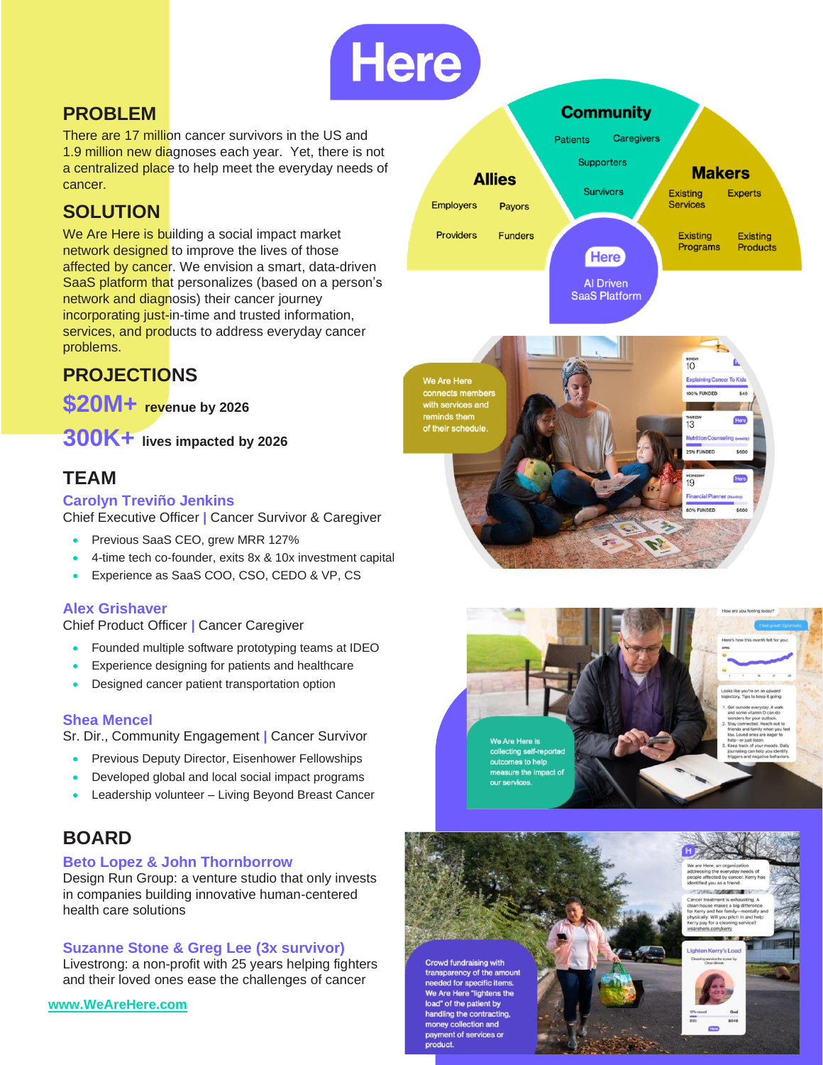

## **PROBLEM**

There are 17 million cancer survivors in the US and 1.9 million new diagnoses each year. Yet, there is not a centralized place to help meet the everyday needs of cancer.

## **SOLUTION**

We Are Here is building a social impact market network designed to improve the lives of those affected by cancer. We envision a smart, data-driven SaaS platform that personalizes (based on a person's network and diagnosis) their cancer journey incorporating just-in-time and trusted information, services, and products to address everyday cancer problems.

## **PROJECTIONS**

**\$20M+ revenue by 2026**

**300K+ lives impacted by 2026**

### **TEAM**

#### **Carolyn Treviño Jenkins**

Chief Executive Officer **|** Cancer Survivor & Caregiver

- Previous SaaS CEO, grew MRR 127%
- 4-time tech co-founder, exits 8x & 10x investment capital
- Experience as SaaS COO, CSO, CEDO & VP, CS

#### **Alex Grishaver**

Chief Product Officer **|** Cancer Caregiver

- Founded multiple software prototyping teams at IDEO
- Experience designing for patients and healthcare
- Designed cancer patient transportation option

#### **Shea Mencel**

Sr. Dir., Community Engagement **|** Cancer Survivor

- Previous Deputy Director, Eisenhower Fellowships
- Developed global and local social impact programs
- Leadership volunteer Living Beyond Breast Cancer

### **BOARD**

#### **Beto Lopez & John Thornborrow**

Design Run Group: a venture studio that only invests in companies building innovative human-centered health care solutions

#### **Suzanne Stone & Greg Lee (3x survivor)**

Livestrong: a non-profit with 25 years helping fighters and their loved ones ease the challenges of cancer

```
www.WeAreHere.com
```




Here

 $\overline{19}$